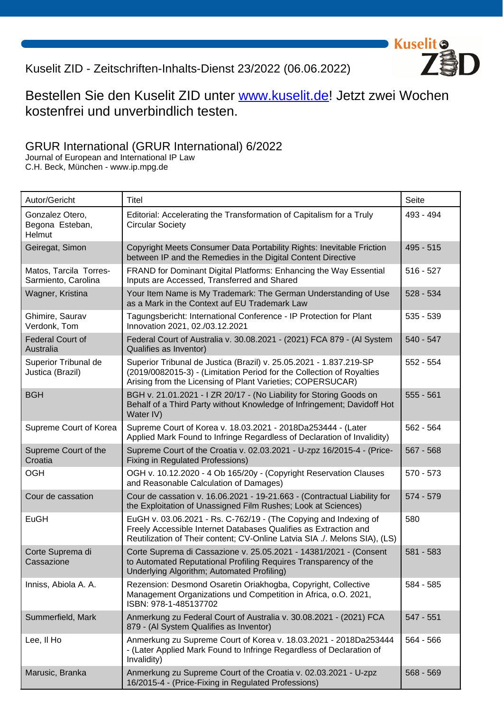## Kuselit ZID - Zeitschriften-Inhalts-Dienst 23/2022 (06.06.2022)

## Bestellen Sie den Kuselit ZID unter www.kuselit.de! Jetzt zwei Wochen kostenfrei und unverbindlich testen.

## GRUR International (GRUR International[\) 6/2022](https://www.kuselit.de/kuselit-zid/bestellen?source=zidpdf)

Journal of European and International IP Law C.H. Beck, München - www.ip.mpg.de

| Autor/Gericht                                 | Titel                                                                                                                                                                                                              | Seite       |
|-----------------------------------------------|--------------------------------------------------------------------------------------------------------------------------------------------------------------------------------------------------------------------|-------------|
| Gonzalez Otero,<br>Begona Esteban,<br>Helmut  | Editorial: Accelerating the Transformation of Capitalism for a Truly<br><b>Circular Society</b>                                                                                                                    | 493 - 494   |
| Geiregat, Simon                               | Copyright Meets Consumer Data Portability Rights: Inevitable Friction<br>between IP and the Remedies in the Digital Content Directive                                                                              | $495 - 515$ |
| Matos, Tarcila Torres-<br>Sarmiento, Carolina | FRAND for Dominant Digital Platforms: Enhancing the Way Essential<br>Inputs are Accessed, Transferred and Shared                                                                                                   | $516 - 527$ |
| Wagner, Kristina                              | Your Item Name is My Trademark: The German Understanding of Use<br>as a Mark in the Context auf EU Trademark Law                                                                                                   | $528 - 534$ |
| Ghimire, Saurav<br>Verdonk, Tom               | Tagungsbericht: International Conference - IP Protection for Plant<br>Innovation 2021, 02./03.12.2021                                                                                                              | $535 - 539$ |
| <b>Federal Court of</b><br>Australia          | Federal Court of Australia v. 30.08.2021 - (2021) FCA 879 - (Al System<br>Qualifies as Inventor)                                                                                                                   | $540 - 547$ |
| Superior Tribunal de<br>Justica (Brazil)      | Superior Tribunal de Justica (Brazil) v. 25.05.2021 - 1.837.219-SP<br>(2019/0082015-3) - (Limitation Period for the Collection of Royalties<br>Arising from the Licensing of Plant Varieties; COPERSUCAR)          | $552 - 554$ |
| <b>BGH</b>                                    | BGH v. 21.01.2021 - I ZR 20/17 - (No Liability for Storing Goods on<br>Behalf of a Third Party without Knowledge of Infringement; Davidoff Hot<br>Water IV)                                                        | $555 - 561$ |
| Supreme Court of Korea                        | Supreme Court of Korea v. 18.03.2021 - 2018Da253444 - (Later<br>Applied Mark Found to Infringe Regardless of Declaration of Invalidity)                                                                            | $562 - 564$ |
| Supreme Court of the<br>Croatia               | Supreme Court of the Croatia v. 02.03.2021 - U-zpz 16/2015-4 - (Price-<br><b>Fixing in Regulated Professions)</b>                                                                                                  | $567 - 568$ |
| <b>OGH</b>                                    | OGH v. 10.12.2020 - 4 Ob 165/20y - (Copyright Reservation Clauses<br>and Reasonable Calculation of Damages)                                                                                                        | $570 - 573$ |
| Cour de cassation                             | Cour de cassation v. 16.06.2021 - 19-21.663 - (Contractual Liability for<br>the Exploitation of Unassigned Film Rushes; Look at Sciences)                                                                          | 574 - 579   |
| <b>EuGH</b>                                   | EuGH v. 03.06.2021 - Rs. C-762/19 - (The Copying and Indexing of<br>Freely Accessible Internet Databases Qualifies as Extraction and<br>Reutilization of Their content; CV-Online Latvia SIA ./. Melons SIA), (LS) | 580         |
| Corte Suprema di<br>Cassazione                | Corte Suprema di Cassazione v. 25.05.2021 - 14381/2021 - (Consent<br>to Automated Reputational Profiling Requires Transparency of the<br>Underlying Algorithm; Automated Profiling)                                | 581 - 583   |
| Inniss, Abiola A. A.                          | Rezension: Desmond Osaretin Oriakhogba, Copyright, Collective<br>Management Organizations und Competition in Africa, o.O. 2021,<br>ISBN: 978-1-485137702                                                           | 584 - 585   |
| Summerfield, Mark                             | Anmerkung zu Federal Court of Australia v. 30.08.2021 - (2021) FCA<br>879 - (Al System Qualifies as Inventor)                                                                                                      | $547 - 551$ |
| Lee, II Ho                                    | Anmerkung zu Supreme Court of Korea v. 18.03.2021 - 2018Da253444<br>- (Later Applied Mark Found to Infringe Regardless of Declaration of<br>Invalidity)                                                            | 564 - 566   |
| Marusic, Branka                               | Anmerkung zu Supreme Court of the Croatia v. 02.03.2021 - U-zpz<br>16/2015-4 - (Price-Fixing in Regulated Professions)                                                                                             | $568 - 569$ |